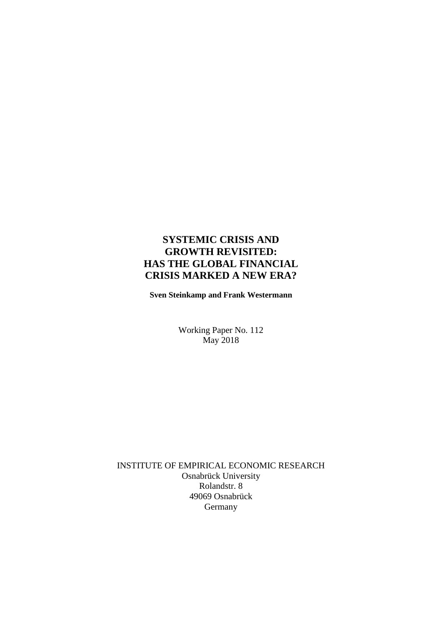# **SYSTEMIC CRISIS AND GROWTH REVISITED: HAS THE GLOBAL FINANCIAL CRISIS MARKED A NEW ERA?**

**Sven Steinkamp and Frank Westermann**

Working Paper No. 112 May 2018

INSTITUTE OF EMPIRICAL ECONOMIC RESEARCH Osnabrück University Rolandstr. 8 49069 Osnabrück Germany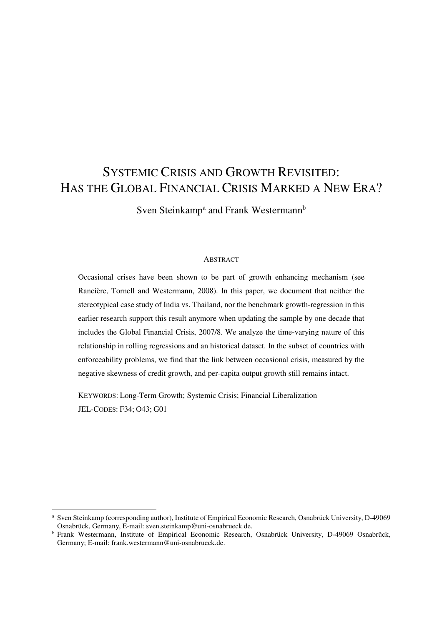# SYSTEMIC CRISIS AND GROWTH REVISITED: HAS THE GLOBAL FINANCIAL CRISIS MARKED A NEW ERA?

Sven Steinkamp<sup>a</sup> and Frank Westermann<sup>b</sup>

### **ABSTRACT**

Occasional crises have been shown to be part of growth enhancing mechanism (see Rancière, Tornell and Westermann, 2008). In this paper, we document that neither the stereotypical case study of India vs. Thailand, nor the benchmark growth-regression in this earlier research support this result anymore when updating the sample by one decade that includes the Global Financial Crisis, 2007/8. We analyze the time-varying nature of this relationship in rolling regressions and an historical dataset. In the subset of countries with enforceability problems, we find that the link between occasional crisis, measured by the negative skewness of credit growth, and per-capita output growth still remains intact.

KEYWORDS: Long-Term Growth; Systemic Crisis; Financial Liberalization JEL-CODES: F34; O43; G01

-

a Sven Steinkamp (corresponding author), Institute of Empirical Economic Research, Osnabrück University, D-49069 Osnabrück, Germany, E-mail: sven.steinkamp@uni-osnabrueck.de.

<sup>&</sup>lt;sup>b</sup> Frank Westermann, Institute of Empirical Economic Research, Osnabrück University, D-49069 Osnabrück, Germany; E-mail: frank.westermann@uni-osnabrueck.de.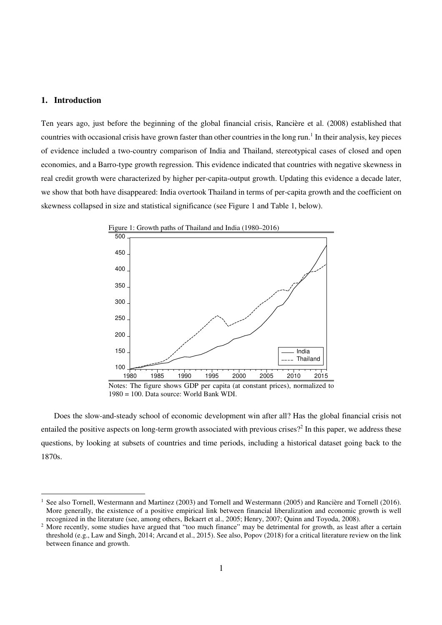#### **1. Introduction**

Ten years ago, just before the beginning of the global financial crisis, Rancière et al. (2008) established that countries with occasional crisis have grown faster than other countries in the long run.<sup>1</sup> In their analysis, key pieces of evidence included a two-country comparison of India and Thailand, stereotypical cases of closed and open economies, and a Barro-type growth regression. This evidence indicated that countries with negative skewness in real credit growth were characterized by higher per-capita-output growth. Updating this evidence a decade later, we show that both have disappeared: India overtook Thailand in terms of per-capita growth and the coefficient on skewness collapsed in size and statistical significance (see Figure 1 and Table 1, below).



1980 = 100. Data source: World Bank WDI.

Does the slow-and-steady school of economic development win after all? Has the global financial crisis not entailed the positive aspects on long-term growth associated with previous crises?<sup>2</sup> In this paper, we address these questions, by looking at subsets of countries and time periods, including a historical dataset going back to the 1870s.

<sup>1</sup> See also Tornell, Westermann and Martinez (2003) and Tornell and Westermann (2005) and Rancière and Tornell (2016). More generally, the existence of a positive empirical link between financial liberalization and economic growth is well recognized in the literature (see, among others, Bekaert et al., 2005; Henry, 2007; Quinn and Toyoda, 2008).

<sup>2</sup> More recently, some studies have argued that "too much finance" may be detrimental for growth, as least after a certain threshold (e.g., Law and Singh, 2014; Arcand et al., 2015). See also, Popov (2018) for a critical literature review on the link between finance and growth.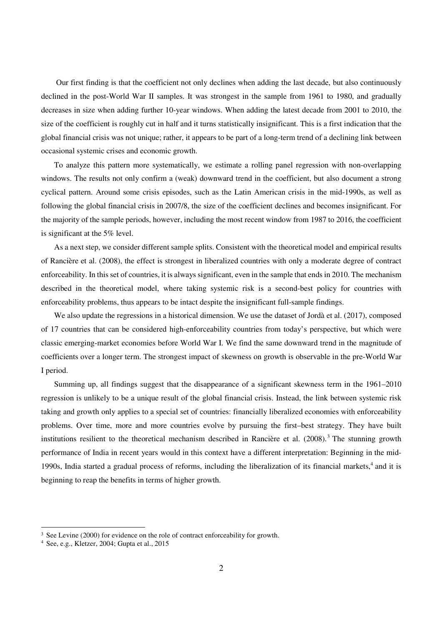Our first finding is that the coefficient not only declines when adding the last decade, but also continuously declined in the post-World War II samples. It was strongest in the sample from 1961 to 1980, and gradually decreases in size when adding further 10-year windows. When adding the latest decade from 2001 to 2010, the size of the coefficient is roughly cut in half and it turns statistically insignificant. This is a first indication that the global financial crisis was not unique; rather, it appears to be part of a long-term trend of a declining link between occasional systemic crises and economic growth.

To analyze this pattern more systematically, we estimate a rolling panel regression with non-overlapping windows. The results not only confirm a (weak) downward trend in the coefficient, but also document a strong cyclical pattern. Around some crisis episodes, such as the Latin American crisis in the mid-1990s, as well as following the global financial crisis in 2007/8, the size of the coefficient declines and becomes insignificant. For the majority of the sample periods, however, including the most recent window from 1987 to 2016, the coefficient is significant at the 5% level.

As a next step, we consider different sample splits. Consistent with the theoretical model and empirical results of Rancière et al. (2008), the effect is strongest in liberalized countries with only a moderate degree of contract enforceability. In this set of countries, it is always significant, even in the sample that ends in 2010. The mechanism described in the theoretical model, where taking systemic risk is a second-best policy for countries with enforceability problems, thus appears to be intact despite the insignificant full-sample findings.

We also update the regressions in a historical dimension. We use the dataset of Jordà et al. (2017), composed of 17 countries that can be considered high-enforceability countries from today's perspective, but which were classic emerging-market economies before World War I. We find the same downward trend in the magnitude of coefficients over a longer term. The strongest impact of skewness on growth is observable in the pre-World War I period.

Summing up, all findings suggest that the disappearance of a significant skewness term in the 1961–2010 regression is unlikely to be a unique result of the global financial crisis. Instead, the link between systemic risk taking and growth only applies to a special set of countries: financially liberalized economies with enforceability problems. Over time, more and more countries evolve by pursuing the first–best strategy. They have built institutions resilient to the theoretical mechanism described in Rancière et al.  $(2008)$ .<sup>3</sup> The stunning growth performance of India in recent years would in this context have a different interpretation: Beginning in the mid-1990s, India started a gradual process of reforms, including the liberalization of its financial markets,<sup>4</sup> and it is beginning to reap the benefits in terms of higher growth.

<sup>&</sup>lt;sup>3</sup> See Levine (2000) for evidence on the role of contract enforceability for growth.

<sup>4</sup> See, e.g., Kletzer, 2004; Gupta et al., 2015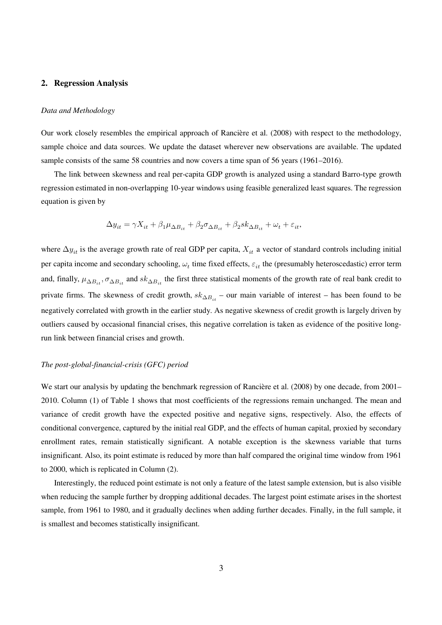#### **2. Regression Analysis**

#### *Data and Methodology*

Our work closely resembles the empirical approach of Rancière et al. (2008) with respect to the methodology, sample choice and data sources. We update the dataset wherever new observations are available. The updated sample consists of the same 58 countries and now covers a time span of 56 years (1961–2016).

The link between skewness and real per-capita GDP growth is analyzed using a standard Barro-type growth regression estimated in non-overlapping 10-year windows using feasible generalized least squares. The regression equation is given by

$$
\Delta y_{it} = \gamma X_{it} + \beta_1 \mu_{\Delta B_{it}} + \beta_2 \sigma_{\Delta B_{it}} + \beta_2 s k_{\Delta B_{it}} + \omega_t + \varepsilon_{it},
$$

where  $\Delta y_{it}$  is the average growth rate of real GDP per capita,  $X_{it}$  a vector of standard controls including initial per capita income and secondary schooling,  $\omega_t$  time fixed effects,  $\varepsilon_{it}$  the (presumably heteroscedastic) error term and, finally,  $\mu_{\Delta B_{it}}$ ,  $\sigma_{\Delta B_{it}}$  and  $sk_{\Delta B_{it}}$  the first three statistical moments of the growth rate of real bank credit to private firms. The skewness of credit growth,  $sk_{\Delta B_{it}}$  – our main variable of interest – has been found to be negatively correlated with growth in the earlier study. As negative skewness of credit growth is largely driven by outliers caused by occasional financial crises, this negative correlation is taken as evidence of the positive longrun link between financial crises and growth.

#### *The post-global-financial-crisis (GFC) period*

We start our analysis by updating the benchmark regression of Rancière et al. (2008) by one decade, from 2001– 2010. Column (1) of Table 1 shows that most coefficients of the regressions remain unchanged. The mean and variance of credit growth have the expected positive and negative signs, respectively. Also, the effects of conditional convergence, captured by the initial real GDP, and the effects of human capital, proxied by secondary enrollment rates, remain statistically significant. A notable exception is the skewness variable that turns insignificant. Also, its point estimate is reduced by more than half compared the original time window from 1961 to 2000, which is replicated in Column (2).

Interestingly, the reduced point estimate is not only a feature of the latest sample extension, but is also visible when reducing the sample further by dropping additional decades. The largest point estimate arises in the shortest sample, from 1961 to 1980, and it gradually declines when adding further decades. Finally, in the full sample, it is smallest and becomes statistically insignificant.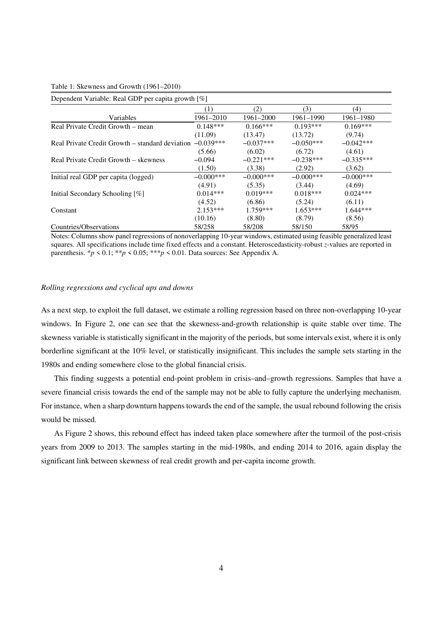#### Table 1: Skewness and Growth (1961–2010)

| Dependent Variable: Real GDP per capita growth [%] |             |              |              |             |  |
|----------------------------------------------------|-------------|--------------|--------------|-------------|--|
|                                                    | (1)         | (2)          | (3)          | (4)         |  |
| Variables                                          | 1961-2010   | 1961-2000    | 1961-1990    | 1961-1980   |  |
| Real Private Credit Growth – mean                  | $0.148***$  | $0.166***$   | $0.193***$   | $0.169***$  |  |
|                                                    | (11.09)     | (13.47)      | (13.72)      | (9.74)      |  |
| Real Private Credit Growth – standard deviation    | $-0.039***$ | $-0.037***$  | $-0.050***$  | $-0.042***$ |  |
|                                                    | (5.66)      | (6.02)       | (6.72)       | (4.61)      |  |
| Real Private Credit Growth – skewness              | $-0.094$    | $-0.221$ *** | $-0.238***$  | $-0.335***$ |  |
|                                                    | (1.50)      | (3.38)       | (2.92)       | (3.62)      |  |
| Initial real GDP per capita (logged)               | $-0.000***$ | $-0.000***$  | $-0.000$ *** | $-0.000***$ |  |
|                                                    | (4.91)      | (5.35)       | (3.44)       | (4.69)      |  |
| Initial Secondary Schooling [%]                    | $0.014***$  | $0.019***$   | $0.018***$   | $0.024***$  |  |
|                                                    | (4.52)      | (6.86)       | (5.24)       | (6.11)      |  |
| Constant                                           | $2.153***$  | $1.759***$   | $1.653***$   | $1.644***$  |  |
|                                                    | (10.16)     | (8.80)       | (8.79)       | (8.56)      |  |
| Countries/Observations                             | 58/258      | 58/208       | 58/150       | 58/95       |  |

Notes: Columns show panel regressions of nonoverlapping 10-year windows, estimated using feasible generalized least squares. All specifications include time fixed effects and a constant. Heteroscedasticity-robust *z*-values are reported in parenthesis. \**p* < 0.1; \*\**p* < 0.05; \*\*\**p* < 0.01. Data sources: See Appendix A.

#### *Rolling regressions and cyclical ups and downs*

As a next step, to exploit the full dataset, we estimate a rolling regression based on three non-overlapping 10-year windows. In Figure 2, one can see that the skewness-and-growth relationship is quite stable over time. The skewness variable is statistically significant in the majority of the periods, but some intervals exist, where it is only borderline significant at the 10% level, or statistically insignificant. This includes the sample sets starting in the 1980s and ending somewhere close to the global financial crisis.

This finding suggests a potential end-point problem in crisis–and–growth regressions. Samples that have a severe financial crisis towards the end of the sample may not be able to fully capture the underlying mechanism. For instance, when a sharp downturn happens towards the end of the sample, the usual rebound following the crisis would be missed.

As Figure 2 shows, this rebound effect has indeed taken place somewhere after the turmoil of the post-crisis years from 2009 to 2013. The samples starting in the mid-1980s, and ending 2014 to 2016, again display the significant link between skewness of real credit growth and per-capita income growth.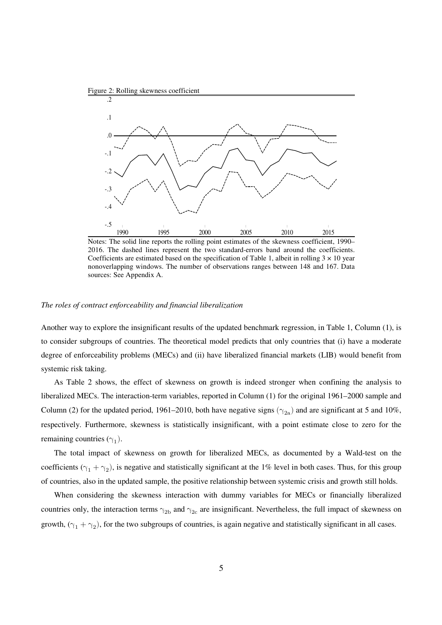Rolling skewness coefficient



Notes: The solid line reports the rolling point estimates of the skewness coefficient, 1990– 2016. The dashed lines represent the two standard-errors band around the coefficients. Coefficients are estimated based on the specification of Table 1, albeit in rolling  $3 \times 10$  year nonoverlapping windows. The number of observations ranges between 148 and 167. Data sources: See Appendix A.

#### *The roles of contract enforceability and financial liberalization*

Another way to explore the insignificant results of the updated benchmark regression, in Table 1, Column (1), is to consider subgroups of countries. The theoretical model predicts that only countries that (i) have a moderate degree of enforceability problems (MECs) and (ii) have liberalized financial markets (LIB) would benefit from systemic risk taking.

As Table 2 shows, the effect of skewness on growth is indeed stronger when confining the analysis to liberalized MECs. The interaction-term variables, reported in Column (1) for the original 1961–2000 sample and Column (2) for the updated period, 1961–2010, both have negative signs ( $\gamma_{2a}$ ) and are significant at 5 and 10%, respectively. Furthermore, skewness is statistically insignificant, with a point estimate close to zero for the remaining countries  $(\gamma_1)$ .

The total impact of skewness on growth for liberalized MECs, as documented by a Wald-test on the coefficients ( $\gamma_1 + \gamma_2$ ), is negative and statistically significant at the 1% level in both cases. Thus, for this group of countries, also in the updated sample, the positive relationship between systemic crisis and growth still holds.

When considering the skewness interaction with dummy variables for MECs or financially liberalized countries only, the interaction terms  $\gamma_{2b}$  and  $\gamma_{2c}$  are insignificant. Nevertheless, the full impact of skewness on growth,  $(\gamma_1 + \gamma_2)$ , for the two subgroups of countries, is again negative and statistically significant in all cases.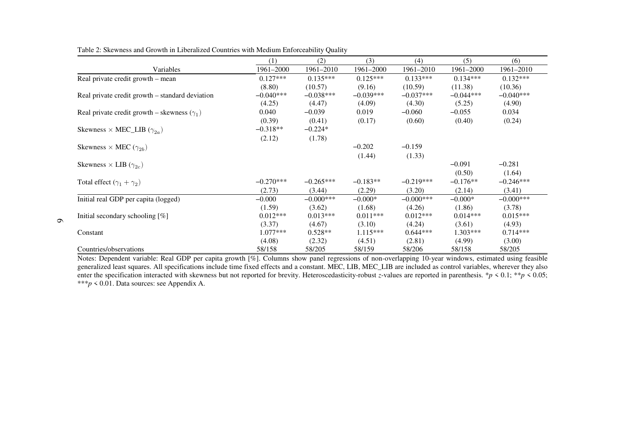|                                                    | (1)         | (2)         | (3)         | (4)         | (5)         | (6)         |
|----------------------------------------------------|-------------|-------------|-------------|-------------|-------------|-------------|
| Variables                                          | 1961-2000   | 1961-2010   | 1961-2000   | 1961-2010   | 1961-2000   | 1961-2010   |
| Real private credit growth - mean                  | $0.127***$  | $0.135***$  | $0.125***$  | $0.133***$  | $0.134***$  | $0.132***$  |
|                                                    | (8.80)      | (10.57)     | (9.16)      | (10.59)     | (11.38)     | (10.36)     |
| Real private credit growth – standard deviation    | $-0.040***$ | $-0.038***$ | $-0.039***$ | $-0.037***$ | $-0.044***$ | $-0.040***$ |
|                                                    | (4.25)      | (4.47)      | (4.09)      | (4.30)      | (5.25)      | (4.90)      |
| Real private credit growth – skewness $(\gamma_1)$ | 0.040       | $-0.039$    | 0.019       | $-0.060$    | $-0.055$    | 0.034       |
|                                                    | (0.39)      | (0.41)      | (0.17)      | (0.60)      | (0.40)      | (0.24)      |
| Skewness × MEC_LIB ( $\gamma_{2a}$ )               | $-0.318**$  | $-0.224*$   |             |             |             |             |
|                                                    | (2.12)      | (1.78)      |             |             |             |             |
| Skewness $\times$ MEC ( $\gamma_{2h}$ )            |             |             | $-0.202$    | $-0.159$    |             |             |
|                                                    |             |             | (1.44)      | (1.33)      |             |             |
| Skewness $\times$ LIB ( $\gamma_{2c}$ )            |             |             |             |             | $-0.091$    | $-0.281$    |
|                                                    |             |             |             |             | (0.50)      | (1.64)      |
| Total effect $(\gamma_1 + \gamma_2)$               | $-0.270***$ | $-0.265***$ | $-0.183**$  | $-0.219***$ | $-0.176**$  | $-0.246***$ |
|                                                    | (2.73)      | (3.44)      | (2.29)      | (3.20)      | (2.14)      | (3.41)      |
| Initial real GDP per capita (logged)               | $-0.000$    | $-0.000***$ | $-0.000*$   | $-0.000***$ | $-0.000*$   | $-0.000***$ |
|                                                    | (1.59)      | (3.62)      | (1.68)      | (4.26)      | (1.86)      | (3.78)      |
| Initial secondary schooling $[\%]$                 | $0.012***$  | $0.013***$  | $0.011***$  | $0.012***$  | $0.014***$  | $0.015***$  |
|                                                    | (3.37)      | (4.67)      | (3.10)      | (4.24)      | (3.61)      | (4.93)      |
| Constant                                           | $1.077***$  | $0.528**$   | $1.115***$  | $0.644***$  | $1.303***$  | $0.714***$  |
|                                                    | (4.08)      | (2.32)      | (4.51)      | (2.81)      | (4.99)      | (3.00)      |
| Countries/observations                             | 58/158      | 58/205      | 58/159      | 58/206      | 58/158      | 58/205      |

Table 2: Skewness and Growth in Liberalized Countries with Medium Enforceability Quality

Notes: Dependent variable: Real GDP per capita growth [%]. Columns show panel regressions of non-overlapping 10-year windows, estimated using feasible generalized least squares. All specifications include time fixed effects and a constant. MEC, LIB, MEC\_LIB are included as control variables, wherever they also enter the specification interacted with skewness but not rep \*\*\**p* < 0.01. Data sources: see Appendix A.

 $\sigma$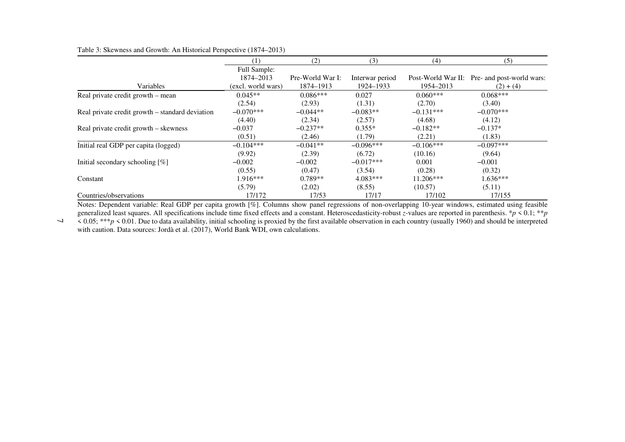|                                                 | (1)                | (2)              | (3)             | (4)         | (5)                                          |
|-------------------------------------------------|--------------------|------------------|-----------------|-------------|----------------------------------------------|
|                                                 | Full Sample:       |                  |                 |             |                                              |
|                                                 | 1874-2013          | Pre-World War I: | Interwar period |             | Post-World War II: Pre- and post-world wars: |
| Variables                                       | (excl. world wars) | 1874–1913        | 1924–1933       | 1954–2013   | $(2) + (4)$                                  |
| Real private credit growth – mean               | $0.045**$          | $0.086***$       | 0.027           | $0.060***$  | $0.068***$                                   |
|                                                 | (2.54)             | (2.93)           | (1.31)          | (2.70)      | (3.40)                                       |
| Real private credit growth – standard deviation | $-0.070***$        | $-0.044**$       | $-0.083**$      | $-0.131***$ | $-0.070***$                                  |
|                                                 | (4.40)             | (2.34)           | (2.57)          | (4.68)      | (4.12)                                       |
| Real private credit growth – skewness           | $-0.037$           | $-0.237**$       | $0.355*$        | $-0.182**$  | $-0.137*$                                    |
|                                                 | (0.51)             | (2.46)           | (1.79)          | (2.21)      | (1.83)                                       |
| Initial real GDP per capita (logged)            | $-0.104***$        | $-0.041**$       | $-0.096***$     | $-0.106***$ | $-0.097***$                                  |
|                                                 | (9.92)             | (2.39)           | (6.72)          | (10.16)     | (9.64)                                       |
| Initial secondary schooling $[\%]$              | $-0.002$           | $-0.002$         | $-0.017***$     | 0.001       | $-0.001$                                     |
|                                                 | (0.55)             | (0.47)           | (3.54)          | (0.28)      | (0.32)                                       |
| Constant                                        | $1.916***$         | $0.789**$        | $4.083***$      | $11.206***$ | $1.636***$                                   |
|                                                 | (5.79)             | (2.02)           | (8.55)          | (10.57)     | (5.11)                                       |
| Countries/observations                          | 17/172             | 17/53            | 17/17           | 17/102      | 17/155                                       |

#### Table 3: Skewness and Growth: An Historical Perspective (1874–2013)

Notes: Dependent variable: Real GDP per capita growth [%]. Columns show panel regressions of non-overlapping 10-year windows, estimated using feasible generalized least squares. All specifications include time fixed effects and a constant. Heteroscedasticity-robust *z*-values are reported in parenthesis. \**p* < 0.1; \*\**p* $0.05$ ;  $***p < 0.01$ . Due to data availability, initial schooling is proxied by the first available observation in each country (usually 1960) and should be interpreted with caution. Data sources: Jordà et al. (2017), World Bank WDI, own calculations.

 $\overline{\phantom{a}}$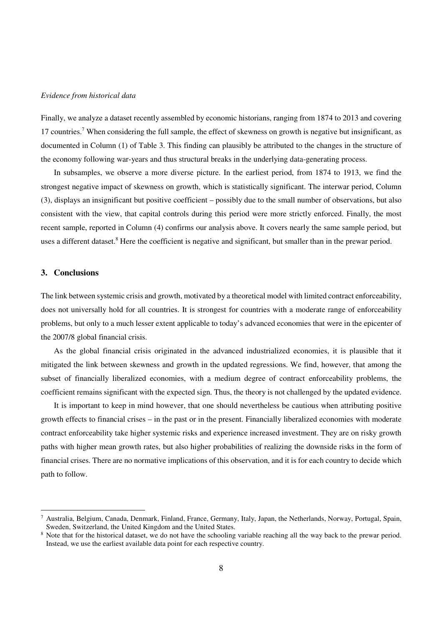#### *Evidence from historical data*

Finally, we analyze a dataset recently assembled by economic historians, ranging from 1874 to 2013 and covering 17 countries.<sup>7</sup> When considering the full sample, the effect of skewness on growth is negative but insignificant, as documented in Column (1) of Table 3. This finding can plausibly be attributed to the changes in the structure of the economy following war-years and thus structural breaks in the underlying data-generating process.

In subsamples, we observe a more diverse picture. In the earliest period, from 1874 to 1913, we find the strongest negative impact of skewness on growth, which is statistically significant. The interwar period, Column (3), displays an insignificant but positive coefficient – possibly due to the small number of observations, but also consistent with the view, that capital controls during this period were more strictly enforced. Finally, the most recent sample, reported in Column (4) confirms our analysis above. It covers nearly the same sample period, but uses a different dataset.<sup>8</sup> Here the coefficient is negative and significant, but smaller than in the prewar period.

#### **3. Conclusions**

-

The link between systemic crisis and growth, motivated by a theoretical model with limited contract enforceability, does not universally hold for all countries. It is strongest for countries with a moderate range of enforceability problems, but only to a much lesser extent applicable to today's advanced economies that were in the epicenter of the 2007/8 global financial crisis.

As the global financial crisis originated in the advanced industrialized economies, it is plausible that it mitigated the link between skewness and growth in the updated regressions. We find, however, that among the subset of financially liberalized economies, with a medium degree of contract enforceability problems, the coefficient remains significant with the expected sign. Thus, the theory is not challenged by the updated evidence.

It is important to keep in mind however, that one should nevertheless be cautious when attributing positive growth effects to financial crises – in the past or in the present. Financially liberalized economies with moderate contract enforceability take higher systemic risks and experience increased investment. They are on risky growth paths with higher mean growth rates, but also higher probabilities of realizing the downside risks in the form of financial crises. There are no normative implications of this observation, and it is for each country to decide which path to follow.

<sup>7</sup> Australia, Belgium, Canada, Denmark, Finland, France, Germany, Italy, Japan, the Netherlands, Norway, Portugal, Spain, Sweden, Switzerland, the United Kingdom and the United States.

<sup>&</sup>lt;sup>8</sup> Note that for the historical dataset, we do not have the schooling variable reaching all the way back to the prewar period. Instead, we use the earliest available data point for each respective country.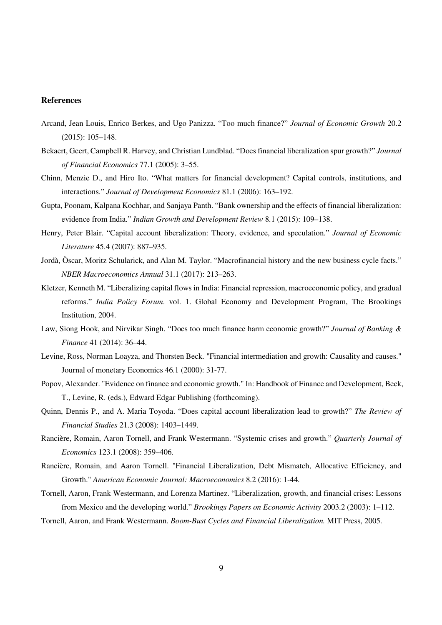#### **References**

- Arcand, Jean Louis, Enrico Berkes, and Ugo Panizza. "Too much finance?" *Journal of Economic Growth* 20.2 (2015): 105–148.
- Bekaert, Geert, Campbell R. Harvey, and Christian Lundblad. "Does financial liberalization spur growth?" *Journal of Financial Economics* 77.1 (2005): 3–55.
- Chinn, Menzie D., and Hiro Ito. "What matters for financial development? Capital controls, institutions, and interactions." *Journal of Development Economics* 81.1 (2006): 163–192.
- Gupta, Poonam, Kalpana Kochhar, and Sanjaya Panth. "Bank ownership and the effects of financial liberalization: evidence from India." *Indian Growth and Development Review* 8.1 (2015): 109–138.
- Henry, Peter Blair. "Capital account liberalization: Theory, evidence, and speculation." *Journal of Economic Literature* 45.4 (2007): 887–935.
- Jordà, Òscar, Moritz Schularick, and Alan M. Taylor. "Macrofinancial history and the new business cycle facts." *NBER Macroeconomics Annual* 31.1 (2017): 213–263.
- Kletzer, Kenneth M. "Liberalizing capital flows in India: Financial repression, macroeconomic policy, and gradual reforms." *India Policy Forum*. vol. 1. Global Economy and Development Program, The Brookings Institution, 2004.
- Law, Siong Hook, and Nirvikar Singh. "Does too much finance harm economic growth?" *Journal of Banking & Finance* 41 (2014): 36–44.
- Levine, Ross, Norman Loayza, and Thorsten Beck. "Financial intermediation and growth: Causality and causes." Journal of monetary Economics 46.1 (2000): 31-77.
- Popov, Alexander. "Evidence on finance and economic growth." In: Handbook of Finance and Development, Beck, T., Levine, R. (eds.), Edward Edgar Publishing (forthcoming).
- Quinn, Dennis P., and A. Maria Toyoda. "Does capital account liberalization lead to growth?" *The Review of Financial Studies* 21.3 (2008): 1403–1449.
- Rancière, Romain, Aaron Tornell, and Frank Westermann. "Systemic crises and growth." *Quarterly Journal of Economics* 123.1 (2008): 359–406.
- Rancière, Romain, and Aaron Tornell. "Financial Liberalization, Debt Mismatch, Allocative Efficiency, and Growth." *American Economic Journal: Macroeconomics* 8.2 (2016): 1-44.

Tornell, Aaron, Frank Westermann, and Lorenza Martinez. "Liberalization, growth, and financial crises: Lessons from Mexico and the developing world." *Brookings Papers on Economic Activity* 2003.2 (2003): 1–112.

Tornell, Aaron, and Frank Westermann. *Boom-Bust Cycles and Financial Liberalization.* MIT Press, 2005.